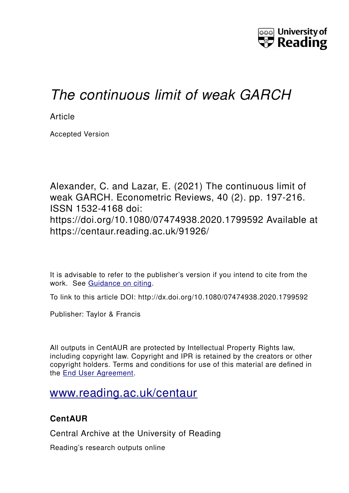

# *The continuous limit of weak GARCH*

**Article** 

Accepted Version

Alexander, C. and Lazar, E. (2021) The continuous limit of weak GARCH. Econometric Reviews, 40 (2). pp. 197-216. ISSN 1532-4168 doi: https://doi.org/10.1080/07474938.2020.1799592 Available at https://centaur.reading.ac.uk/91926/

It is advisable to refer to the publisher's version if you intend to cite from the work. See [Guidance on citing.](http://centaur.reading.ac.uk/71187/10/CentAUR%20citing%20guide.pdf)

To link to this article DOI: http://dx.doi.org/10.1080/07474938.2020.1799592

Publisher: Taylor & Francis

All outputs in CentAUR are protected by Intellectual Property Rights law, including copyright law. Copyright and IPR is retained by the creators or other copyright holders. Terms and conditions for use of this material are defined in the [End User Agreement.](http://centaur.reading.ac.uk/licence)

# [www.reading.ac.uk/centaur](http://www.reading.ac.uk/centaur)

# **CentAUR**

Central Archive at the University of Reading

Reading's research outputs online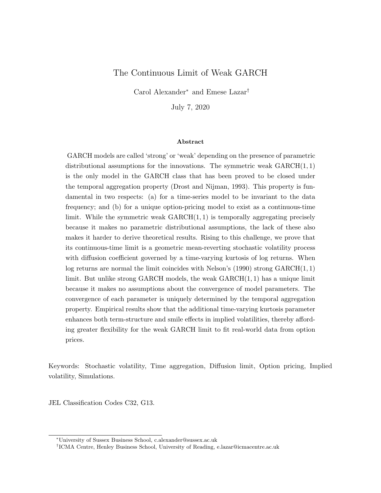# The Continuous Limit of Weak GARCH

Carol Alexander<sup>∗</sup> and Emese Lazar†

July 7, 2020

#### Abstract

GARCH models are called 'strong' or 'weak' depending on the presence of parametric distributional assumptions for the innovations. The symmetric weak  $GARCH(1, 1)$ is the only model in the GARCH class that has been proved to be closed under the temporal aggregation property (Drost and Nijman, 1993). This property is fundamental in two respects: (a) for a time-series model to be invariant to the data frequency; and (b) for a unique option-pricing model to exist as a continuous-time limit. While the symmetric weak  $GARCH(1, 1)$  is temporally aggregating precisely because it makes no parametric distributional assumptions, the lack of these also makes it harder to derive theoretical results. Rising to this challenge, we prove that its continuous-time limit is a geometric mean-reverting stochastic volatility process with diffusion coefficient governed by a time-varying kurtosis of log returns. When log returns are normal the limit coincides with Nelson's  $(1990)$  strong  $GARCH(1, 1)$ limit. But unlike strong GARCH models, the weak  $GARCH(1, 1)$  has a unique limit because it makes no assumptions about the convergence of model parameters. The convergence of each parameter is uniquely determined by the temporal aggregation property. Empirical results show that the additional time-varying kurtosis parameter enhances both term-structure and smile effects in implied volatilities, thereby affording greater flexibility for the weak GARCH limit to fit real-world data from option prices.

Keywords: Stochastic volatility, Time aggregation, Diffusion limit, Option pricing, Implied volatility, Simulations.

JEL Classification Codes C32, G13.

<sup>∗</sup>University of Sussex Business School, c.alexander@sussex.ac.uk

<sup>†</sup> ICMA Centre, Henley Business School, University of Reading, e.lazar@icmacentre.ac.uk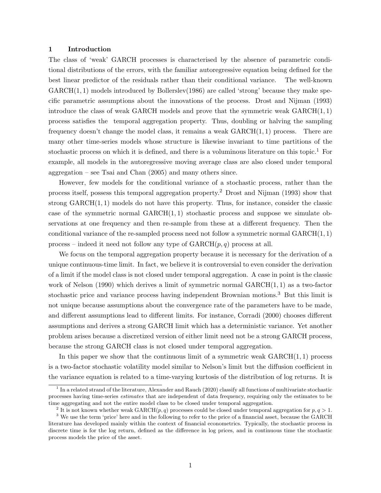#### 1 Introduction

The class of 'weak' GARCH processes is characterised by the absence of parametric conditional distributions of the errors, with the familiar autoregressive equation being defined for the best linear predictor of the residuals rather than their conditional variance. The well-known  $GARCH(1, 1)$  models introduced by Bollerslev(1986) are called 'strong' because they make specific parametric assumptions about the innovations of the process. Drost and Nijman (1993) introduce the class of weak GARCH models and prove that the symmetric weak  $GARCH(1, 1)$ process satisfies the temporal aggregation property. Thus, doubling or halving the sampling frequency doesn't change the model class, it remains a weak  $GARCH(1, 1)$  process. There are many other time-series models whose structure is likewise invariant to time partitions of the stochastic process on which it is defined, and there is a voluminous literature on this topic.<sup>1</sup> For example, all models in the autoregressive moving average class are also closed under temporal aggregation – see Tsai and Chan (2005) and many others since.

However, few models for the conditional variance of a stochastic process, rather than the process itself, possess this temporal aggregation property.<sup>2</sup> Drost and Nijman (1993) show that strong  $GARCH(1, 1)$  models do not have this property. Thus, for instance, consider the classic case of the symmetric normal  $GARCH(1, 1)$  stochastic process and suppose we simulate observations at one frequency and then re-sample from these at a different frequency. Then the conditional variance of the re-sampled process need not follow a symmetric normal  $GARCH(1, 1)$ process – indeed it need not follow any type of  $GARCH(p, q)$  process at all.

We focus on the temporal aggregation property because it is necessary for the derivation of a unique continuous-time limit. In fact, we believe it is controversial to even consider the derivation of a limit if the model class is not closed under temporal aggregation. A case in point is the classic work of Nelson (1990) which derives a limit of symmetric normal GARCH(1, 1) as a two-factor stochastic price and variance process having independent Brownian motions.<sup>3</sup> But this limit is not unique because assumptions about the convergence rate of the parameters have to be made, and different assumptions lead to different limits. For instance, Corradi (2000) chooses different assumptions and derives a strong GARCH limit which has a deterministic variance. Yet another problem arises because a discretized version of either limit need not be a strong GARCH process, because the strong GARCH class is not closed under temporal aggregation.

In this paper we show that the continuous limit of a symmetric weak  $GARCH(1, 1)$  process is a two-factor stochastic volatility model similar to Nelson's limit but the diffusion coefficient in the variance equation is related to a time-varying kurtosis of the distribution of log returns. It is

<sup>&</sup>lt;sup>1</sup> In a related strand of the literature, Alexander and Rauch (2020) classify all functions of multivariate stochastic processes having time-series estimates that are independent of data frequency, requiring only the estimates to be time aggregating and not the entire model class to be closed under temporal aggregation.

<sup>&</sup>lt;sup>2</sup> It is not known whether weak GARCH(p, q) processes could be closed under temporal aggregation for  $p, q > 1$ .

<sup>&</sup>lt;sup>3</sup> We use the term 'price' here and in the following to refer to the price of a financial asset, because the GARCH literature has developed mainly within the context of financial econometrics. Typically, the stochastic process in discrete time is for the log return, defined as the difference in log prices, and in continuous time the stochastic process models the price of the asset.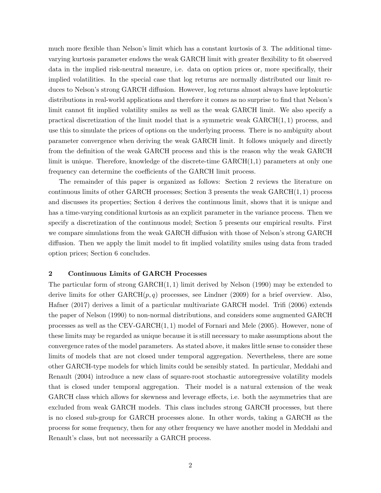much more flexible than Nelson's limit which has a constant kurtosis of 3. The additional timevarying kurtosis parameter endows the weak GARCH limit with greater flexibility to fit observed data in the implied risk-neutral measure, i.e. data on option prices or, more specifically, their implied volatilities. In the special case that log returns are normally distributed our limit reduces to Nelson's strong GARCH diffusion. However, log returns almost always have leptokurtic distributions in real-world applications and therefore it comes as no surprise to find that Nelson's limit cannot fit implied volatility smiles as well as the weak GARCH limit. We also specify a practical discretization of the limit model that is a symmetric weak GARCH(1, 1) process, and use this to simulate the prices of options on the underlying process. There is no ambiguity about parameter convergence when deriving the weak GARCH limit. It follows uniquely and directly from the definition of the weak GARCH process and this is the reason why the weak GARCH limit is unique. Therefore, knowledge of the discrete-time GARCH(1,1) parameters at only one frequency can determine the coefficients of the GARCH limit process.

The remainder of this paper is organized as follows: Section 2 reviews the literature on continuous limits of other GARCH processes; Section 3 presents the weak GARCH(1, 1) process and discusses its properties; Section 4 derives the continuous limit, shows that it is unique and has a time-varying conditional kurtosis as an explicit parameter in the variance process. Then we specify a discretization of the continuous model; Section 5 presents our empirical results. First we compare simulations from the weak GARCH diffusion with those of Nelson's strong GARCH diffusion. Then we apply the limit model to fit implied volatility smiles using data from traded option prices; Section 6 concludes.

### 2 Continuous Limits of GARCH Processes

The particular form of strong  $GARCH(1, 1)$  limit derived by Nelson (1990) may be extended to derive limits for other  $GARCH(p,q)$  processes, see Lindner (2009) for a brief overview. Also, Hafner (2017) derives a limit of a particular multivariate GARCH model. Trifi (2006) extends the paper of Nelson (1990) to non-normal distributions, and considers some augmented GARCH processes as well as the CEV-GARCH(1, 1) model of Fornari and Mele (2005). However, none of these limits may be regarded as unique because it is still necessary to make assumptions about the convergence rates of the model parameters. As stated above, it makes little sense to consider these limits of models that are not closed under temporal aggregation. Nevertheless, there are some other GARCH-type models for which limits could be sensibly stated. In particular, Meddahi and Renault (2004) introduce a new class of square-root stochastic autoregressive volatility models that is closed under temporal aggregation. Their model is a natural extension of the weak GARCH class which allows for skewness and leverage effects, i.e. both the asymmetries that are excluded from weak GARCH models. This class includes strong GARCH processes, but there is no closed sub-group for GARCH processes alone. In other words, taking a GARCH as the process for some frequency, then for any other frequency we have another model in Meddahi and Renault's class, but not necessarily a GARCH process.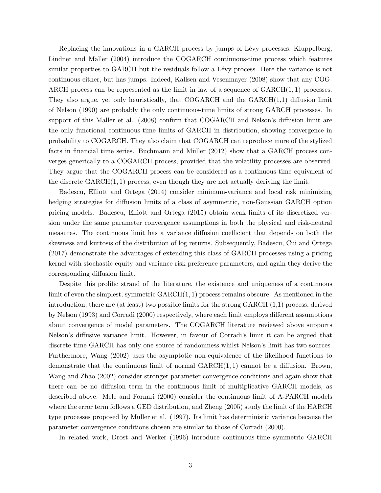Replacing the innovations in a GARCH process by jumps of Lévy processes, Kluppelberg, Lindner and Maller (2004) introduce the COGARCH continuous-time process which features similar properties to GARCH but the residuals follow a Lévy process. Here the variance is not continuous either, but has jumps. Indeed, Kallsen and Vesenmayer (2008) show that any COG-ARCH process can be represented as the limit in law of a sequence of  $GARCH(1, 1)$  processes. They also argue, yet only heuristically, that COGARCH and the GARCH(1,1) diffusion limit of Nelson (1990) are probably the only continuous-time limits of strong GARCH processes. In support of this Maller et al. (2008) confirm that COGARCH and Nelson's diffusion limit are the only functional continuous-time limits of GARCH in distribution, showing convergence in probability to COGARCH. They also claim that COGARCH can reproduce more of the stylized facts in financial time series. Buchmann and Müller  $(2012)$  show that a GARCH process converges generically to a COGARCH process, provided that the volatility processes are observed. They argue that the COGARCH process can be considered as a continuous-time equivalent of the discrete  $GARCH(1, 1)$  process, even though they are not actually deriving the limit.

Badescu, Elliott and Ortega (2014) consider minimum-variance and local risk minimizing hedging strategies for diffusion limits of a class of asymmetric, non-Gaussian GARCH option pricing models. Badescu, Elliott and Ortega (2015) obtain weak limits of its discretized version under the same parameter convergence assumptions in both the physical and risk-neutral measures. The continuous limit has a variance diffusion coefficient that depends on both the skewness and kurtosis of the distribution of log returns. Subsequently, Badescu, Cui and Ortega (2017) demonstrate the advantages of extending this class of GARCH processes using a pricing kernel with stochastic equity and variance risk preference parameters, and again they derive the corresponding diffusion limit.

Despite this prolific strand of the literature, the existence and uniqueness of a continuous limit of even the simplest, symmetric  $GARCH(1, 1)$  process remains obscure. As mentioned in the introduction, there are (at least) two possible limits for the strong GARCH (1,1) process, derived by Nelson (1993) and Corradi (2000) respectively, where each limit employs different assumptions about convergence of model parameters. The COGARCH literature reviewed above supports Nelson's diffusive variance limit. However, in favour of Corradi's limit it can be argued that discrete time GARCH has only one source of randomness whilst Nelson's limit has two sources. Furthermore, Wang (2002) uses the asymptotic non-equivalence of the likelihood functions to demonstrate that the continuous limit of normal  $GARCH(1, 1)$  cannot be a diffusion. Brown, Wang and Zhao (2002) consider stronger parameter convergence conditions and again show that there can be no diffusion term in the continuous limit of multiplicative GARCH models, as described above. Mele and Fornari (2000) consider the continuous limit of A-PARCH models where the error term follows a GED distribution, and Zheng (2005) study the limit of the HARCH type processes proposed by Muller et al. (1997). Its limit has deterministic variance because the parameter convergence conditions chosen are similar to those of Corradi (2000).

In related work, Drost and Werker (1996) introduce continuous-time symmetric GARCH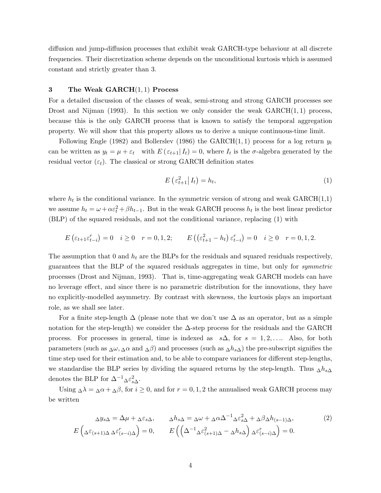diffusion and jump-diffusion processes that exhibit weak GARCH-type behaviour at all discrete frequencies. Their discretization scheme depends on the unconditional kurtosis which is assumed constant and strictly greater than 3.

#### 3 The Weak  $GARCH(1,1)$  Process

For a detailed discussion of the classes of weak, semi-strong and strong GARCH processes see Drost and Nijman (1993). In this section we only consider the weak  $GARCH(1,1)$  process, because this is the only GARCH process that is known to satisfy the temporal aggregation property. We will show that this property allows us to derive a unique continuous-time limit.

Following Engle (1982) and Bollerslev (1986) the GARCH(1,1) process for a log return  $y_t$ can be written as  $y_t = \mu + \varepsilon_t$  with  $E(\varepsilon_{t+1}|I_t) = 0$ , where  $I_t$  is the  $\sigma$ -algebra generated by the residual vector  $(\varepsilon_t)$ . The classical or strong GARCH definition states

$$
E\left(\varepsilon_{t+1}^2 \middle| I_t\right) = h_t,\tag{1}
$$

where  $h_t$  is the conditional variance. In the symmetric version of strong and weak  $\text{GARCH}(1,1)$ we assume  $h_t = \omega + \alpha \varepsilon_t^2 + \beta h_{t-1}$ . But in the weak GARCH process  $h_t$  is the best linear predictor (BLP) of the squared residuals, and not the conditional variance, replacing (1) with

$$
E\left(\varepsilon_{t+1}\varepsilon_{t-i}^r\right) = 0 \quad i \ge 0 \quad r = 0, 1, 2; \qquad E\left(\left(\varepsilon_{t+1}^2 - h_t\right)\varepsilon_{t-i}^r\right) = 0 \quad i \ge 0 \quad r = 0, 1, 2.
$$

The assumption that 0 and  $h_t$  are the BLPs for the residuals and squared residuals respectively, guarantees that the BLP of the squared residuals aggregates in time, but only for symmetric processes (Drost and Nijman, 1993). That is, time-aggregating weak GARCH models can have no leverage effect, and since there is no parametric distribution for the innovations, they have no explicitly-modelled asymmetry. By contrast with skewness, the kurtosis plays an important role, as we shall see later.

For a finite step-length  $\Delta$  (please note that we don't use  $\Delta$  as an operator, but as a simple notation for the step-length) we consider the  $\Delta$ -step process for the residuals and the GARCH process. For processes in general, time is indexed as  $s\Delta$ , for  $s = 1, 2, \ldots$ . Also, for both parameters (such as  $\Delta\omega$ ,  $\Delta\alpha$  and  $\Delta\beta$ ) and processes (such as  $\Delta h_{s\Delta}$ ) the pre-subscript signifies the time step used for their estimation and, to be able to compare variances for different step-lengths, we standardise the BLP series by dividing the squared returns by the step-length. Thus  $\Delta h_{s\Delta}$ denotes the BLP for  $\Delta^{-1}$  $\Delta \varepsilon_{s\Delta}^2$ .

Using  $\Delta \lambda = \Delta \alpha + \Delta \beta$ , for  $i \geq 0$ , and for  $r = 0, 1, 2$  the annualised weak GARCH process may be written

$$
\Delta y_{s\Delta} = \Delta \mu + \Delta \varepsilon_{s\Delta}, \qquad \Delta h_{s\Delta} = \Delta \omega + \Delta \alpha \Delta^{-1} \Delta \varepsilon_{s\Delta}^2 + \Delta \beta \Delta h_{(s-1)\Delta},
$$
  
\n
$$
E\left(\Delta \varepsilon_{(s+1)\Delta} \Delta \varepsilon_{(s-i)\Delta}^r\right) = 0, \qquad E\left(\left(\Delta^{-1} \Delta \varepsilon_{(s+1)\Delta}^2 - \Delta h_{s\Delta}\right) \Delta \varepsilon_{(s-i)\Delta}^r\right) = 0.
$$
\n(2)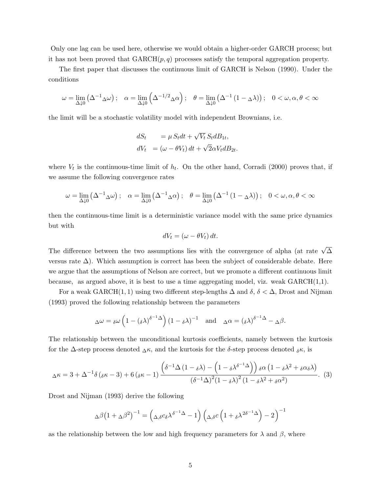Only one lag can be used here, otherwise we would obtain a higher-order GARCH process; but it has not been proved that  $GARCH(p, q)$  processes satisfy the temporal aggregation property.

The first paper that discusses the continuous limit of GARCH is Nelson (1990). Under the conditions

$$
\omega = \lim_{\Delta \downarrow 0} \left( \Delta^{-1} \Delta \omega \right); \quad \alpha = \lim_{\Delta \downarrow 0} \left( \Delta^{-1/2} \Delta \alpha \right); \quad \theta = \lim_{\Delta \downarrow 0} \left( \Delta^{-1} \left( 1 - \Delta \lambda \right) \right); \quad 0 < \omega, \alpha, \theta < \infty
$$

the limit will be a stochastic volatility model with independent Brownians, i.e.

$$
dS_t = \mu S_t dt + \sqrt{V_t} S_t dB_{1t},
$$
  
\n
$$
dV_t = (\omega - \theta V_t) dt + \sqrt{2}\alpha V_t dB_{2t}.
$$

where  $V_t$  is the continuous-time limit of  $h_t$ . On the other hand, Corradi (2000) proves that, if we assume the following convergence rates

$$
\omega = \lim_{\Delta \downarrow 0} \left( \Delta^{-1} \Delta \omega \right); \quad \alpha = \lim_{\Delta \downarrow 0} \left( \Delta^{-1} \Delta \alpha \right); \quad \theta = \lim_{\Delta \downarrow 0} \left( \Delta^{-1} \left( 1 - \Delta \lambda \right) \right); \quad 0 < \omega, \alpha, \theta < \infty
$$

then the continuous-time limit is a deterministic variance model with the same price dynamics but with

$$
dV_t = (\omega - \theta V_t) dt.
$$

The difference between the two assumptions lies with the convergence of alpha (at rate  $\sqrt{\Delta}$ versus rate  $\Delta$ ). Which assumption is correct has been the subject of considerable debate. Here we argue that the assumptions of Nelson are correct, but we promote a different continuous limit because, as argued above, it is best to use a time aggregating model, viz. weak  $GARCH(1,1)$ .

For a weak GARCH(1, 1) using two different step-lengths  $\Delta$  and  $\delta$ ,  $\delta < \Delta$ , Drost and Nijman (1993) proved the following relationship between the parameters

$$
\Delta \omega = \delta \omega \left( 1 - (\delta \lambda)^{\delta^{-1} \Delta} \right) \left( 1 - \delta \lambda \right)^{-1} \quad \text{and} \quad \Delta \alpha = (\delta \lambda)^{\delta^{-1} \Delta} - \Delta \beta.
$$

The relationship between the unconditional kurtosis coefficients, namely between the kurtosis for the  $\Delta$ -step process denoted  $\Delta \kappa$ , and the kurtosis for the  $\delta$ -step process denoted  $\delta \kappa$ , is

$$
\Delta \kappa = 3 + \Delta^{-1} \delta \left( \delta \kappa - 3 \right) + 6 \left( \delta \kappa - 1 \right) \frac{\left( \delta^{-1} \Delta \left( 1 - \delta \lambda \right) - \left( 1 - \delta \lambda^{\delta^{-1} \Delta} \right) \right) \delta \alpha \left( 1 - \delta \lambda^2 + \delta \alpha \delta \lambda \right)}{\left( \delta^{-1} \Delta \right)^2 \left( 1 - \delta \lambda^2 + \delta \alpha^2 \right)}.
$$
 (3)

Drost and Nijman (1993) derive the following

$$
\Delta \beta \left(1 + \Delta \beta^2\right)^{-1} = \left(\Delta_{,\delta} c_{\delta} \lambda^{\delta^{-1} \Delta} - 1\right) \left(\Delta_{,\delta} c \left(1 + \delta \lambda^{2\delta^{-1} \Delta}\right) - 2\right)^{-1}
$$

as the relationship between the low and high frequency parameters for  $\lambda$  and  $\beta$ , where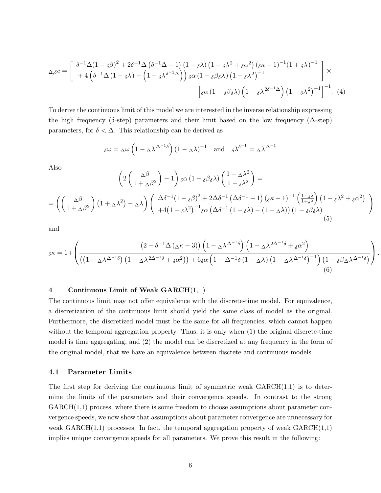$$
\Delta_{\delta}c = \begin{bmatrix} \delta^{-1}\Delta(1-\delta\beta)^2 + 2\delta^{-1}\Delta(\delta^{-1}\Delta - 1)(1-\delta\lambda)(1-\delta\lambda^2 + \delta\alpha^2)(\delta\kappa - 1)^{-1}(1+\delta\lambda)^{-1} \\ + 4(\delta^{-1}\Delta(1-\delta\lambda) - (1-\delta\lambda)^{\delta^{-1}\Delta}) \end{bmatrix} \times \left[\delta\alpha(1-\delta\beta\delta\lambda)(1-\delta\lambda^2)^{-1}\right] \times \left[\delta\alpha(1-\delta\beta\delta\lambda)(1-\delta\lambda^2)^{-1}\right]^{-1}.
$$
 (4)

To derive the continuous limit of this model we are interested in the inverse relationship expressing the high frequency ( $\delta$ -step) parameters and their limit based on the low frequency ( $\Delta$ -step) parameters, for  $\delta < \Delta$ . This relationship can be derived as

$$
\delta \omega = \Delta \omega \left( 1 - \Delta \lambda^{\Delta^{-1} \delta} \right) \left( 1 - \Delta \lambda \right)^{-1} \quad \text{and} \quad \delta \lambda^{\delta^{-1}} = \Delta \lambda^{\Delta^{-1}}
$$

Also

$$
\left(2\left(\frac{\Delta\beta}{1+\Delta\beta^{2}}\right)-1\right)\delta\alpha\left(1-\delta\beta\delta\lambda\right)\left(\frac{1-\Delta\lambda^{2}}{1-\delta\lambda^{2}}\right)=
$$
\n
$$
=\left(\left(\frac{\Delta\beta}{1+\Delta\beta^{2}}\right)\left(1+\Delta\lambda^{2}\right)-\Delta\lambda\right)\left(\frac{\Delta\delta^{-1}(1-\delta\beta)^{2}+2\Delta\delta^{-1}\left(\Delta\delta^{-1}-1\right)\left(\delta\kappa-1\right)^{-1}\left(\frac{1-\delta\lambda}{1+\delta\lambda}\right)\left(1-\delta\lambda^{2}+\delta\alpha^{2}\right)}{+4\left(1-\delta\lambda^{2}\right)^{-1}\delta\alpha\left(\Delta\delta^{-1}\left(1-\delta\lambda\right)-\left(1-\Delta\lambda\right)\right)\left(1-\delta\beta\delta\lambda\right)}\right).
$$
\n(5)

and

$$
\delta \kappa = 1 + \left( \frac{\left(2 + \delta^{-1} \Delta \left(\Delta \kappa - 3\right)\right) \left(1 - \Delta \lambda^{\Delta^{-1} \delta}\right) \left(1 - \Delta \lambda^{2\Delta^{-1} \delta} + \delta \alpha^{2}\right)}{\left(\left(1 - \Delta \lambda^{\Delta^{-1} \delta}\right) \left(1 - \Delta \lambda^{2\Delta^{-1} \delta} + \delta \alpha^{2}\right)\right) + 6\delta \alpha \left(1 - \Delta^{-1} \delta \left(1 - \Delta \lambda\right) \left(1 - \Delta \lambda^{\Delta^{-1} \delta}\right)^{-1}\right) \left(1 - \delta \beta \Delta \lambda^{\Delta^{-1} \delta}\right)} \right). \tag{6}
$$

#### 4 Continuous Limit of Weak GARCH(1, 1)

The continuous limit may not offer equivalence with the discrete-time model. For equivalence, a discretization of the continuous limit should yield the same class of model as the original. Furthermore, the discretized model must be the same for all frequencies, which cannot happen without the temporal aggregation property. Thus, it is only when  $(1)$  the original discrete-time model is time aggregating, and (2) the model can be discretized at any frequency in the form of the original model, that we have an equivalence between discrete and continuous models.

#### 4.1 Parameter Limits

The first step for deriving the continuous limit of symmetric weak  $GARCH(1,1)$  is to determine the limits of the parameters and their convergence speeds. In contrast to the strong  $GARCH(1,1)$  process, where there is some freedom to choose assumptions about parameter convergence speeds, we now show that assumptions about parameter convergence are unnecessary for weak  $GARCH(1,1)$  processes. In fact, the temporal aggregation property of weak  $GARCH(1,1)$ implies unique convergence speeds for all parameters. We prove this result in the following: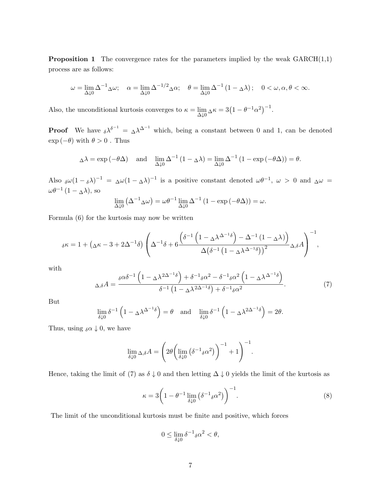**Proposition 1** The convergence rates for the parameters implied by the weak  $GARCH(1,1)$ process are as follows:

$$
\omega = \lim_{\Delta \downarrow 0} \Delta^{-1} \Delta \omega; \quad \alpha = \lim_{\Delta \downarrow 0} \Delta^{-1/2} \Delta \alpha; \quad \theta = \lim_{\Delta \downarrow 0} \Delta^{-1} (1 - \Delta \lambda); \quad 0 < \omega, \alpha, \theta < \infty.
$$

Also, the unconditional kurtosis converges to  $\kappa = \lim_{\Delta \downarrow 0} \Delta \kappa = 3(1 - \theta^{-1} \alpha^2)^{-1}$ .

**Proof** We have  $\delta \lambda^{\delta^{-1}} = \Delta \lambda^{\Delta^{-1}}$  which, being a constant between 0 and 1, can be denoted  $\exp(-\theta)$  with  $\theta > 0$ . Thus

$$
\Delta \lambda = \exp(-\theta \Delta) \quad \text{and} \quad \lim_{\Delta \downarrow 0} \Delta^{-1} (1 - \Delta \lambda) = \lim_{\Delta \downarrow 0} \Delta^{-1} (1 - \exp(-\theta \Delta)) = \theta.
$$

Also  $\delta \omega (1 - \delta \lambda)^{-1} = \Delta \omega (1 - \Delta \lambda)^{-1}$  is a positive constant denoted  $\omega \theta^{-1}$ ,  $\omega > 0$  and  $\Delta \omega =$  $\omega\theta^{-1}(1-\Delta\lambda)$ , so

$$
\lim_{\Delta \downarrow 0} \left( \Delta^{-1} \Delta \omega \right) = \omega \theta^{-1} \lim_{\Delta \downarrow 0} \Delta^{-1} \left( 1 - \exp \left( -\theta \Delta \right) \right) = \omega.
$$

Formula (6) for the kurtosis may now be written

$$
\delta \kappa = 1 + \left(\Delta \kappa - 3 + 2\Delta^{-1}\delta\right) \left(\Delta^{-1}\delta + 6\frac{\left(\delta^{-1}\left(1 - \Delta \lambda^{\Delta^{-1}}\delta\right) - \Delta^{-1}\left(1 - \Delta \lambda\right)\right)}{\Delta\left(\delta^{-1}\left(1 - \Delta \lambda^{\Delta^{-1}}\delta\right)\right)^2}\Delta \delta A\right)^{-1},
$$

with

$$
\Delta_{\delta}A = \frac{\delta^{\alpha\delta^{-1}} \left(1 - \Delta^{\lambda 2\Delta^{-1}\delta}\right) + \delta^{-1}{}_{\delta}\alpha^2 - \delta^{-1}{}_{\delta}\alpha^2 \left(1 - \Delta^{\lambda \Delta^{-1}\delta}\right)}{\delta^{-1} \left(1 - \Delta^{\lambda 2\Delta^{-1}\delta}\right) + \delta^{-1}{}_{\delta}\alpha^2}.
$$
\n(7)

But

$$
\lim_{\delta \downarrow 0} \delta^{-1} \left( 1 - \Delta \lambda^{\Delta - 1} \delta \right) = \theta \quad \text{and} \quad \lim_{\delta \downarrow 0} \delta^{-1} \left( 1 - \Delta \lambda^{2\Delta - 1} \delta \right) = 2\theta.
$$

Thus, using  $_{\delta}\alpha \downarrow 0$ , we have

$$
\lim_{\delta \downarrow 0} \Delta_{,\delta} A = \left( 2 \theta \left( \lim_{\delta \downarrow 0} \left( \delta^{-1} {_{\delta} \alpha}^{2} \right) \right)^{-1} + 1 \right)^{-1}.
$$

Hence, taking the limit of (7) as  $\delta \downarrow 0$  and then letting  $\Delta \downarrow 0$  yields the limit of the kurtosis as

$$
\kappa = 3 \left( 1 - \theta^{-1} \lim_{\delta \downarrow 0} \left( \delta^{-1} {}_{\delta} \alpha^2 \right) \right)^{-1} . \tag{8}
$$

The limit of the unconditional kurtosis must be finite and positive, which forces

$$
0 \le \lim_{\delta \downarrow 0} \delta^{-1}{}_{\delta} \alpha^2 < \theta,
$$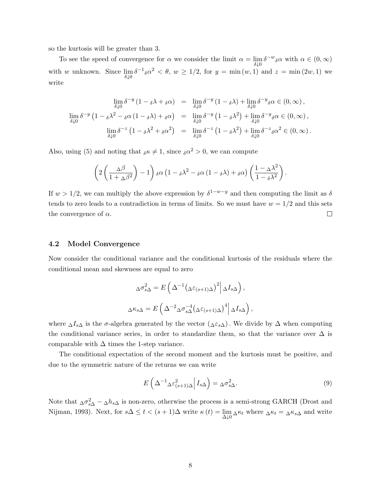so the kurtosis will be greater than 3.

To see the speed of convergence for  $\alpha$  we consider the limit  $\alpha = \lim_{\delta \downarrow 0} \delta^{-w}{}_{\delta} \alpha$  with  $\alpha \in (0, \infty)$ with w unknown. Since  $\lim_{\delta \downarrow 0} \delta^{-1}{}_{\delta} \alpha^2 < \theta$ ,  $w \ge 1/2$ , for  $y = \min(w, 1)$  and  $z = \min(2w, 1)$  we write

$$
\lim_{\delta \downarrow 0} \delta^{-y} (1 - \delta \lambda + \delta \alpha) = \lim_{\delta \downarrow 0} \delta^{-y} (1 - \delta \lambda) + \lim_{\delta \downarrow 0} \delta^{-y} \delta \alpha \in (0, \infty),
$$
  

$$
\lim_{\delta \downarrow 0} \delta^{-y} (1 - \delta \lambda^2 - \delta \alpha (1 - \delta \lambda) + \delta \alpha) = \lim_{\delta \downarrow 0} \delta^{-y} (1 - \delta \lambda^2) + \lim_{\delta \downarrow 0} \delta^{-y} \delta \alpha \in (0, \infty),
$$
  

$$
\lim_{\delta \downarrow 0} \delta^{-z} (1 - \delta \lambda^2 + \delta \alpha^2) = \lim_{\delta \downarrow 0} \delta^{-z} (1 - \delta \lambda^2) + \lim_{\delta \downarrow 0} \delta^{-z} \delta \alpha^2 \in (0, \infty).
$$

Also, using (5) and noting that  $\delta \kappa \neq 1$ , since  $\delta \alpha^2 > 0$ , we can compute

$$
\left(2\left(\frac{\Delta\beta}{1+\Delta\beta^2}\right)-1\right)\delta\alpha\left(1-\delta\lambda^2-\delta\alpha\left(1-\delta\lambda\right)+\delta\alpha\right)\left(\frac{1-\Delta\lambda^2}{1-\delta\lambda^2}\right).
$$

If  $w > 1/2$ , we can multiply the above expression by  $\delta^{1-w-y}$  and then computing the limit as  $\delta$ tends to zero leads to a contradiction in terms of limits. So we must have  $w = 1/2$  and this sets the convergence of  $\alpha$ .  $\Box$ 

### 4.2 Model Convergence

Now consider the conditional variance and the conditional kurtosis of the residuals where the conditional mean and skewness are equal to zero

$$
\Delta \sigma_{s\Delta}^2 = E\left(\Delta^{-1}(\Delta \varepsilon_{(s+1)\Delta})^2 \middle| \Delta I_{s\Delta}\right),
$$
  

$$
\Delta \kappa_{s\Delta} = E\left(\Delta^{-2} \Delta \sigma_{s\Delta}^{-4} (\Delta \varepsilon_{(s+1)\Delta})^4 \middle| \Delta I_{s\Delta}\right),
$$

where  $\Delta I_s \Delta$  is the  $\sigma$ -algebra generated by the vector  $(\Delta \varepsilon_s \Delta)$ . We divide by  $\Delta$  when computing the conditional variance series, in order to standardize them, so that the variance over  $\Delta$  is comparable with  $\Delta$  times the 1-step variance.

The conditional expectation of the second moment and the kurtosis must be positive, and due to the symmetric nature of the returns we can write

$$
E\left(\Delta^{-1}\Delta \varepsilon_{(s+1)\Delta}^2 \middle| I_{s\Delta}\right) = \Delta \sigma_{s\Delta}^2.
$$
\n(9)

Note that  $\Delta \sigma_{s\Delta}^2 - \Delta h_{s\Delta}$  is non-zero, otherwise the process is a semi-strong GARCH (Drost and Nijman, 1993). Next, for  $s\Delta \leq t < (s+1)\Delta$  write  $\kappa(t) = \lim_{\Delta \downarrow 0} \Delta \kappa_t$  where  $\Delta \kappa_t = \Delta \kappa_s \Delta$  and write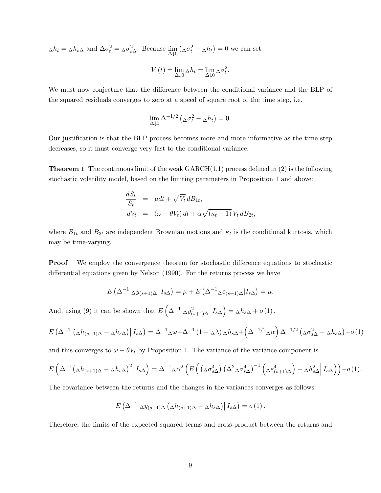$$
\Delta h_t = \Delta h_{s\Delta} \text{ and } \Delta \sigma_t^2 = \Delta \sigma_{s\Delta}^2.
$$
 Because  $\lim_{\Delta \downarrow 0} (\Delta \sigma_t^2 - \Delta h_t) = 0$  we can set  

$$
V(t) = \lim_{\Delta \downarrow 0} \Delta h_t = \lim_{\Delta \downarrow 0} \Delta \sigma_t^2.
$$

We must now conjecture that the difference between the conditional variance and the BLP of the squared residuals converges to zero at a speed of square root of the time step, i.e.

$$
\lim_{\Delta \downarrow 0} \Delta^{-1/2} \left( \Delta \sigma_t^2 - \Delta h_t \right) = 0.
$$

Our justification is that the BLP process becomes more and more informative as the time step decreases, so it must converge very fast to the conditional variance.

**Theorem 1** The continuous limit of the weak  $GARCH(1,1)$  process defined in (2) is the following stochastic volatility model, based on the limiting parameters in Proposition 1 and above:

$$
\frac{dS_t}{S_t} = \mu dt + \sqrt{V_t} dB_{1t},
$$
  
\n
$$
dV_t = (\omega - \theta V_t) dt + \alpha \sqrt{(\kappa_t - 1)} V_t dB_{2t},
$$

where  $B_{1t}$  and  $B_{2t}$  are independent Brownian motions and  $\kappa_t$  is the conditional kurtosis, which may be time-varying.

Proof We employ the convergence theorem for stochastic difference equations to stochastic differential equations given by Nelson (1990). For the returns process we have

$$
E\left(\Delta^{-1} \Delta y_{(s+1)\Delta} \middle| I_{s\Delta}\right) = \mu + E\left(\Delta^{-1} \Delta \varepsilon_{(s+1)\Delta} \middle| I_{s\Delta}\right) = \mu.
$$

And, using (9) it can be shown that  $E\left(\Delta^{-1} \Delta y_{(s+1)\Delta}^2 \Big| I_{s\Delta}\right) = \Delta h_{s\Delta} + o(1)$ ,

$$
E\left(\Delta^{-1}\left(\Delta h_{(s+1)\Delta}-\Delta h_{s\Delta}\right)\middle|I_{s\Delta}\right)=\Delta^{-1}\Delta\omega-\Delta^{-1}\left(1-\Delta\lambda\right)\Delta h_{s\Delta}+\left(\Delta^{-1/2}\Delta\alpha\right)\Delta^{-1/2}\left(\Delta\sigma_{s\Delta}^2-\Delta h_{s\Delta}\right)+o\left(1\right)
$$

and this converges to  $\omega - \theta V_t$  by Proposition 1. The variance of the variance component is

$$
E\left(\Delta^{-1}(\Delta h_{(s+1)\Delta}-\Delta h_{s\Delta})^2\Big|I_{s\Delta}\right)=\Delta^{-1}\Delta\alpha^2\left(E\left(\left(\Delta\sigma_{s\Delta}^4\right)\left(\Delta^2\Delta\sigma_{s\Delta}^4\right)^{-1}\left(\Delta\varepsilon_{(s+1)\Delta}^4\right)-\Delta h_{s\Delta}^2\right|I_{s\Delta}\right)\right)+o(1).
$$

The covariance between the returns and the changes in the variances converges as follows

$$
E\left(\Delta^{-1} \Delta y_{(s+1)\Delta} \left(\Delta h_{(s+1)\Delta} - \Delta h_{s\Delta}\right) \middle| I_{s\Delta}\right) = o\left(1\right).
$$

Therefore, the limits of the expected squared terms and cross-product between the returns and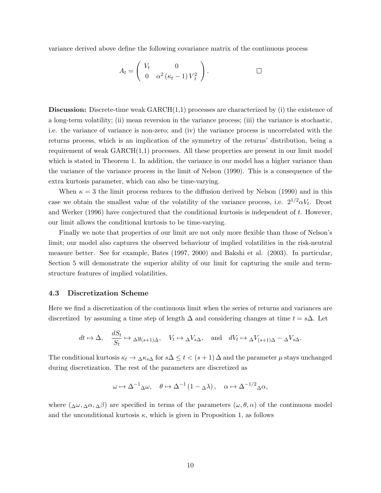variance derived above define the following covariance matrix of the continuous process

$$
A_t = \left(\begin{array}{cc} V_t & 0 \\ 0 & \alpha^2 (\kappa_t - 1) V_t^2 \end{array}\right). \square
$$

**Discussion:** Discrete-time weak  $GARCH(1,1)$  processes are characterized by (i) the existence of a long-term volatility; (ii) mean reversion in the variance process; (iii) the variance is stochastic, i.e. the variance of variance is non-zero; and (iv) the variance process is uncorrelated with the returns process, which is an implication of the symmetry of the returns' distribution, being a requirement of weak GARCH(1,1) processes. All these properties are present in our limit model which is stated in Theorem 1. In addition, the variance in our model has a higher variance than the variance of the variance process in the limit of Nelson (1990). This is a consequence of the extra kurtosis parameter, which can also be time-varying.

When  $\kappa = 3$  the limit process reduces to the diffusion derived by Nelson (1990) and in this case we obtain the smallest value of the volatility of the variance process, i.e.  $2^{1/2}\alpha V_t$ . Drost and Werker (1996) have conjectured that the conditional kurtosis is independent of t. However, our limit allows the conditional kurtosis to be time-varying.

Finally we note that properties of our limit are not only more flexible than those of Nelson's limit; our model also captures the observed behaviour of implied volatilities in the risk-neutral measure better. See for example, Bates (1997, 2000) and Bakshi et al. (2003). In particular, Section 5 will demonstrate the superior ability of our limit for capturing the smile and termstructure features of implied volatilities.

#### 4.3 Discretization Scheme

Here we find a discretization of the continuous limit when the series of returns and variances are discretized by assuming a time step of length  $\Delta$  and considering changes at time  $t = s\Delta$ . Let

$$
dt \mapsto \Delta
$$
,  $\frac{dS_t}{S_t} \mapsto \Delta y_{(s+1)\Delta}$ ,  $V_t \mapsto \Delta V_{s\Delta}$ , and  $dV_t \mapsto \Delta V_{(s+1)\Delta} - \Delta V_{s\Delta}$ .

The conditional kurtosis  $\kappa_t \to \Delta \kappa_{s\Delta}$  for  $s\Delta \leq t < (s+1)\Delta$  and the parameter  $\mu$  stays unchanged during discretization. The rest of the parameters are discretized as

$$
\omega \mapsto \Delta^{-1} \Delta \omega, \quad \theta \mapsto \Delta^{-1} (1 - \Delta \lambda), \quad \alpha \mapsto \Delta^{-1/2} \Delta \alpha,
$$

where  $(\Delta\omega, \Delta\alpha, \Delta\beta)$  are specified in terms of the parameters  $(\omega, \theta, \alpha)$  of the continuous model and the unconditional kurtosis  $\kappa$ , which is given in Proposition 1, as follows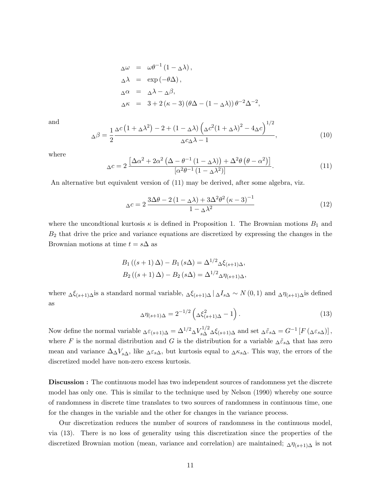$$
\Delta \omega = \omega \theta^{-1} (1 - \Delta \lambda),
$$
  
\n
$$
\Delta \lambda = \exp(-\theta \Delta),
$$
  
\n
$$
\Delta \alpha = \Delta \lambda - \Delta \beta,
$$
  
\n
$$
\Delta \kappa = 3 + 2 (\kappa - 3) (\theta \Delta - (1 - \Delta \lambda)) \theta^{-2} \Delta^{-2},
$$

and

$$
\Delta \beta = \frac{1}{2} \frac{\Delta c \left( 1 + \Delta \lambda^2 \right) - 2 + \left( 1 - \Delta \lambda \right) \left( \Delta c^2 (1 + \Delta \lambda)^2 - 4 \Delta c \right)^{1/2}}{\Delta c \Delta \lambda - 1},\tag{10}
$$

where

$$
\Delta c = 2 \frac{\left[\Delta \alpha^2 + 2\alpha^2 \left(\Delta - \theta^{-1} \left(1 - \Delta \lambda\right)\right) + \Delta^2 \theta \left(\theta - \alpha^2\right)\right]}{\left[\alpha^2 \theta^{-1} \left(1 - \Delta \lambda^2\right)\right]}.
$$
\n(11)

An alternative but equivalent version of (11) may be derived, after some algebra, viz.

$$
\Delta c = 2 \frac{3\Delta\theta - 2\left(1 - \Delta\lambda\right) + 3\Delta^2\theta^2 \left(\kappa - 3\right)^{-1}}{1 - \Delta\lambda^2} \tag{12}
$$

where the uncondtional kurtosis  $\kappa$  is defined in Proposition 1. The Brownian motions  $B_1$  and  $B_2$  that drive the price and variance equations are discretized by expressing the changes in the Brownian motions at time  $t = s\Delta$  as

$$
B_1 ((s + 1) \Delta) - B_1 (s \Delta) = \Delta^{1/2} \Delta \xi_{(s+1) \Delta},
$$
  
\n
$$
B_2 ((s + 1) \Delta) - B_2 (s \Delta) = \Delta^{1/2} \Delta \eta_{(s+1) \Delta},
$$

where  $\Delta \xi_{(s+1)\Delta}$  is a standard normal variable,  $\Delta \xi_{(s+1)\Delta} \Delta I_{s\Delta} \sim N(0, 1)$  and  $\Delta \eta_{(s+1)\Delta}$  is defined as

$$
\Delta \eta_{(s+1)\Delta} = 2^{-1/2} \left( \Delta \xi_{(s+1)\Delta}^2 - 1 \right). \tag{13}
$$

Now define the normal variable  $\Delta \varepsilon_{(s+1)\Delta} = \Delta^{1/2} \Delta V_{s\Delta}^{1/2} \Delta \xi_{(s+1)\Delta}$  and set  $\Delta \tilde{\varepsilon}_{s\Delta} = G^{-1} [F(\Delta \varepsilon_{s\Delta})],$ where F is the normal distribution and G is the distribution for a variable  $\Delta \tilde{\varepsilon}_{s\Delta}$  that has zero mean and variance  $\Delta \Delta V_{s\Delta}$ , like  $\Delta \varepsilon_{s\Delta}$ , but kurtosis equal to  $\Delta \kappa_{s\Delta}$ . This way, the errors of the discretized model have non-zero excess kurtosis.

Discussion : The continuous model has two independent sources of randomness yet the discrete model has only one. This is similar to the technique used by Nelson (1990) whereby one source of randomness in discrete time translates to two sources of randomness in continuous time, one for the changes in the variable and the other for changes in the variance process.

Our discretization reduces the number of sources of randomness in the continuous model, via (13). There is no loss of generality using this discretization since the properties of the discretized Brownian motion (mean, variance and correlation) are maintained;  $\Delta \eta_{(s+1)\Delta}$  is not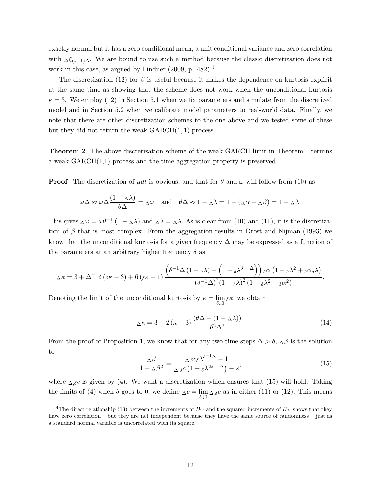exactly normal but it has a zero conditional mean, a unit conditional variance and zero correlation with  $\Delta \xi_{(s+1)\Delta}$ . We are bound to use such a method because the classic discretization does not work in this case, as argued by Lindner (2009, p. 482).<sup>4</sup>

The discretization (12) for  $\beta$  is useful because it makes the dependence on kurtosis explicit at the same time as showing that the scheme does not work when the unconditional kurtosis  $\kappa = 3$ . We employ (12) in Section 5.1 when we fix parameters and simulate from the discretized model and in Section 5.2 when we calibrate model parameters to real-world data. Finally, we note that there are other discretization schemes to the one above and we tested some of these but they did not return the weak  $GARCH(1, 1)$  process.

Theorem 2 The above discretization scheme of the weak GARCH limit in Theorem 1 returns a weak GARCH(1,1) process and the time aggregation property is preserved.

**Proof** The discretization of  $\mu dt$  is obvious, and that for  $\theta$  and  $\omega$  will follow from (10) as

$$
\omega \Delta \approx \omega \Delta \frac{(1 - \Delta \lambda)}{\theta \Delta} = \Delta \omega \quad \text{and} \quad \theta \Delta \approx 1 - \Delta \lambda = 1 - (\Delta \alpha + \Delta \beta) = 1 - \Delta \lambda.
$$

This gives  $\Delta \omega = \omega \theta^{-1} (1 - \Delta \lambda)$  and  $\Delta \lambda = \Delta \lambda$ . As is clear from (10) and (11), it is the discretization of  $\beta$  that is most complex. From the aggregation results in Drost and Nijman (1993) we know that the unconditional kurtosis for a given frequency  $\Delta$  may be expressed as a function of the parameters at an arbitrary higher frequency  $\delta$  as

$$
\Delta \kappa = 3 + \Delta^{-1} \delta \left( \delta \kappa - 3 \right) + 6 \left( \delta \kappa - 1 \right) \frac{\left( \delta^{-1} \Delta \left( 1 - \delta \lambda \right) - \left( 1 - \delta \lambda^{\delta - 1} \Delta \right) \right) \delta \alpha \left( 1 - \delta \lambda^2 + \delta \alpha \delta \lambda \right)}{\left( \delta^{-1} \Delta \right)^2 \left( 1 - \delta \lambda^2 + \delta \alpha^2 \right)}.
$$

Denoting the limit of the unconditional kurtosis by  $\kappa = \lim_{\delta \downarrow 0} {}_{\delta} \kappa$ , we obtain

$$
\Delta \kappa = 3 + 2\left(\kappa - 3\right) \frac{\left(\theta \Delta - (1 - \Delta \lambda)\right)}{\theta^2 \Delta^2}.
$$
\n(14)

From the proof of Proposition 1, we know that for any two time steps  $\Delta > \delta$ ,  $\Delta \beta$  is the solution to

$$
\frac{\Delta\beta}{1+\Delta\beta^2} = \frac{\Delta_{,\delta}c_{\delta}\lambda^{\delta^{-1}\Delta} - 1}{\Delta_{,\delta}c\left(1+\delta\lambda^{2\delta^{-1}\Delta}\right) - 2},\tag{15}
$$

where  $\Delta_{\delta}c$  is given by (4). We want a discretization which ensures that (15) will hold. Taking the limits of (4) when  $\delta$  goes to 0, we define  $\Delta c = \lim_{\delta \downarrow 0} \Delta_{,\delta} c$  as in either (11) or (12). This means

<sup>&</sup>lt;sup>4</sup>The direct relationship (13) between the increments of  $B_{1t}$  and the squared increments of  $B_{2t}$  shows that they have zero correlation – but they are not independent because they have the same source of randomness – just as a standard normal variable is uncorrelated with its square.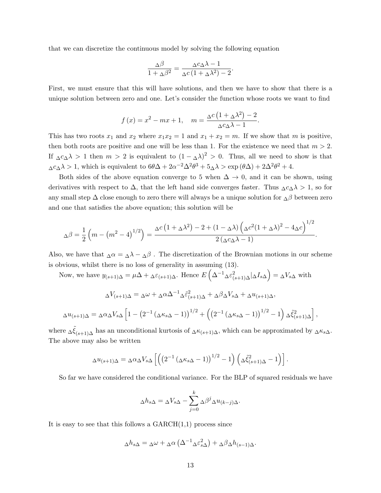that we can discretize the continuous model by solving the following equation

$$
\frac{\Delta\beta}{1 + \Delta\beta^2} = \frac{\Delta c_{\Delta}\lambda - 1}{\Delta c\left(1 + \Delta\lambda^2\right) - 2}
$$

.

First, we must ensure that this will have solutions, and then we have to show that there is a unique solution between zero and one. Let's consider the function whose roots we want to find

$$
f(x) = x^2 - mx + 1
$$
,  $m = \frac{\Delta c (1 + \Delta \lambda^2) - 2}{\Delta c \Delta \lambda - 1}$ .

This has two roots  $x_1$  and  $x_2$  where  $x_1x_2 = 1$  and  $x_1 + x_2 = m$ . If we show that m is positive, then both roots are positive and one will be less than 1. For the existence we need that  $m > 2$ . If  $\Delta c \Delta \lambda > 1$  then  $m > 2$  is equivalent to  $(1 - \Delta \lambda)^2 > 0$ . Thus, all we need to show is that  $\Delta c_{\Delta} \lambda > 1$ , which is equivalent to  $6\theta\Delta + 2\alpha^{-2}\Delta^2\theta^3 + 5\Delta\lambda > \exp(\theta\Delta) + 2\Delta^2\theta^2 + 4$ .

Both sides of the above equation converge to 5 when  $\Delta \to 0$ , and it can be shown, using derivatives with respect to  $\Delta$ , that the left hand side converges faster. Thus  $\Delta c_{\Delta} \lambda > 1$ , so for any small step  $\Delta$  close enough to zero there will always be a unique solution for  $_\Delta\beta$  between zero and one that satisfies the above equation; this solution will be

$$
\Delta \beta = \frac{1}{2} \left( m - \left( m^2 - 4 \right)^{1/2} \right) = \frac{\Delta c \left( 1 + \Delta \lambda^2 \right) - 2 + \left( 1 - \Delta \lambda \right) \left( \Delta c^2 (1 + \Delta \lambda)^2 - 4 \Delta c \right)^{1/2}}{2 \left( \Delta c \Delta \lambda - 1 \right)}.
$$

Also, we have that  $\Delta \alpha = \Delta \lambda - \Delta \beta$ . The discretization of the Brownian motions in our scheme is obvious, whilst there is no loss of generality in assuming (13).

Now, we have  $y_{(s+1)\Delta} = \mu\Delta + \Delta\varepsilon_{(s+1)\Delta}$ . Hence  $E\left(\Delta^{-1}\Delta\varepsilon_{(s+1)\Delta}^2|\Delta I_{s\Delta}\right) = \Delta V_{s\Delta}$  with

$$
\Delta V_{(s+1)\Delta} = \Delta \omega + \Delta \alpha \Delta^{-1} \Delta \tilde{\epsilon}_{(s+1)\Delta}^2 + \Delta \beta \Delta V_{s\Delta} + \Delta u_{(s+1)\Delta},
$$
  

$$
\Delta u_{(s+1)\Delta} = \Delta \alpha \Delta V_{s\Delta} \left[ 1 - \left( 2^{-1} \left( \Delta \kappa_{s\Delta} - 1 \right) \right)^{1/2} + \left( \left( 2^{-1} \left( \Delta \kappa_{s\Delta} - 1 \right) \right)^{1/2} - 1 \right) \Delta \tilde{\epsilon}_{(s+1)\Delta}^2 \right],
$$

where  $\Delta \tilde{\xi}_{(s+1)\Delta}$  has an unconditional kurtosis of  $\Delta \kappa_{(s+1)\Delta}$ , which can be approximated by  $\Delta \kappa_{s\Delta}$ . The above may also be written

$$
\Delta u_{(s+1)\Delta} = \Delta \alpha_{\Delta} V_{s\Delta} \left[ \left( \left( 2^{-1} \left( \Delta \kappa_{s\Delta} - 1 \right) \right)^{1/2} - 1 \right) \left( \Delta \tilde{\xi}_{(s+1)\Delta}^2 - 1 \right) \right].
$$

So far we have considered the conditional variance. For the BLP of squared residuals we have

$$
\Delta h_{s\Delta} = \Delta V_{s\Delta} - \sum_{j=0}^{k} \Delta \beta^{j} \Delta u_{(k-j)\Delta}.
$$

It is easy to see that this follows a  $GARCH(1,1)$  process since

$$
\Delta h_{s\Delta} = \Delta \omega + \Delta \alpha \left( \Delta^{-1} \Delta \varepsilon_{s\Delta}^2 \right) + \Delta \beta \Delta h_{(s-1)\Delta}.
$$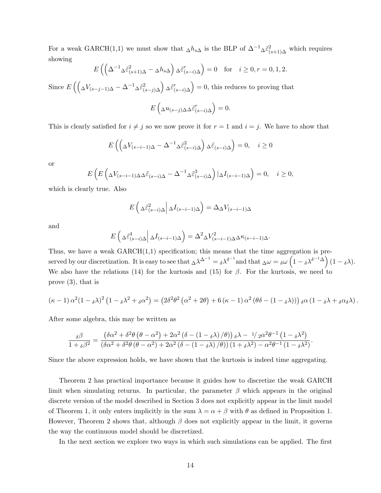For a weak GARCH(1,1) we must show that  $\Delta h_{s\Delta}$  is the BLP of  $\Delta^{-1}\Delta \tilde{\epsilon}_{(s+1)\Delta}^2$  which requires showing

$$
E\left(\left(\Delta^{-1}\Delta \tilde{\varepsilon}_{(s+1)\Delta}^2 - \Delta h_{s\Delta}\right) \Delta \tilde{\varepsilon}_{(s-i)\Delta}^r\right) = 0 \quad \text{for} \quad i \ge 0, r = 0, 1, 2.
$$

Since  $E\left(\left(\Delta V_{(s-j-1)\Delta}-\Delta^{-1}\Delta\tilde{\varepsilon}_{(s-j)\Delta}^2\right)\Delta\tilde{\varepsilon}_{(s-i)\Delta}^T\right)=0$ , this reduces to proving that

$$
E\left(\Delta u_{(s-j)\Delta} \tilde{\varepsilon}_{(s-i)\Delta}^r\right) = 0.
$$

This is clearly satisfied for  $i \neq j$  so we now prove it for  $r = 1$  and  $i = j$ . We have to show that

$$
E\left(\left(\Delta V_{(s-i-1)\Delta} - \Delta^{-1} \Delta \tilde{\varepsilon}_{(s-i)\Delta}^2\right) \Delta \tilde{\varepsilon}_{(s-i)\Delta}\right) = 0, \quad i \ge 0
$$

or

$$
E\left(E\left(\Delta V_{(s-i-1)\Delta}\Delta\tilde{\varepsilon}_{(s-i)\Delta}-\Delta^{-1}\Delta\tilde{\varepsilon}_{(s-i)\Delta}^3\right)|\Delta I_{(s-i-1)\Delta}\right)=0,\quad i\geq 0,
$$

which is clearly true. Also

$$
E\left(\Delta \tilde{\varepsilon}_{(s-i)\Delta}^2 \middle| \Delta I_{(s-i-1)\Delta}\right) = \Delta \Delta V_{(s-i-1)\Delta}
$$

and

$$
E\left(\Delta \tilde{\varepsilon}_{(s-i)\Delta}^4 \middle| \Delta I_{(s-i-1)\Delta}\right) = \Delta^2 \Delta V_{(s-i-1)\Delta}^2 \Delta \kappa_{(s-i-1)\Delta}.
$$

Thus, we have a weak  $GARCH(1,1)$  specification; this means that the time aggregation is preserved by our discretization. It is easy to see that  $\Delta \lambda^{\Delta^{-1}} = \delta \lambda^{\delta^{-1}}$  and that  $\Delta \omega = \delta \omega \left(1 - \delta \lambda^{\delta^{-1} \Delta}\right) (1 - \delta \lambda)$ . We also have the relations (14) for the kurtosis and (15) for  $\beta$ . For the kurtosis, we need to prove (3), that is

$$
(\kappa - 1) \alpha^2 (1 - \delta \lambda)^2 (1 - \delta \lambda^2 + \delta \alpha^2) = (2\delta^2 \theta^2 (\alpha^2 + 2\theta) + 6 (\kappa - 1) \alpha^2 (\theta \delta - (1 - \delta \lambda))) \delta \alpha (1 - \delta \lambda + \delta \alpha \delta \lambda).
$$

After some algebra, this may be written as

$$
\frac{\delta \beta}{1+\delta \beta^2}=\frac{\left(\delta \alpha ^2+\delta ^2\theta \left(\theta -\alpha ^2\right)+2 \alpha ^2 \left(\delta -\left(1-\delta \lambda \right)/\theta \right)\right) \delta \lambda -\frac{1}{2} \alpha ^2 \theta ^{-1} \left(1-\delta \lambda ^2\right)}{\left(\delta \alpha ^2+\delta ^2 \theta \left(\theta -\alpha ^2\right)+2 \alpha ^2 \left(\delta -\left(1-\delta \lambda \right)/\theta \right)\right) \left(1+\delta \lambda ^2\right)-\alpha ^2 \theta ^{-1} \left(1-\delta \lambda ^2\right)}.
$$

Since the above expression holds, we have shown that the kurtosis is indeed time aggregating.

Theorem 2 has practical importance because it guides how to discretize the weak GARCH limit when simulating returns. In particular, the parameter  $\beta$  which appears in the original discrete version of the model described in Section 3 does not explicitly appear in the limit model of Theorem 1, it only enters implicitly in the sum  $\lambda = \alpha + \beta$  with  $\theta$  as defined in Proposition 1. However, Theorem 2 shows that, although  $\beta$  does not explicitly appear in the limit, it governs the way the continuous model should be discretized.

In the next section we explore two ways in which such simulations can be applied. The first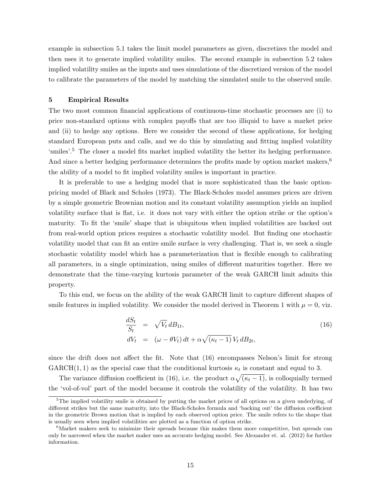example in subsection 5.1 takes the limit model parameters as given, discretizes the model and then uses it to generate implied volatility smiles. The second example in subsection 5.2 takes implied volatility smiles as the inputs and uses simulations of the discretized version of the model to calibrate the parameters of the model by matching the simulated smile to the observed smile.

#### 5 Empirical Results

The two most common financial applications of continuous-time stochastic processes are (i) to price non-standard options with complex payoffs that are too illiquid to have a market price and (ii) to hedge any options. Here we consider the second of these applications, for hedging standard European puts and calls, and we do this by simulating and fitting implied volatility 'smiles'.<sup>5</sup> The closer a model fits market implied volatility the better its hedging performance. And since a better hedging performance determines the profits made by option market makers,<sup>6</sup> the ability of a model to fit implied volatility smiles is important in practice.

It is preferable to use a hedging model that is more sophisticated than the basic optionpricing model of Black and Scholes (1973). The Black-Scholes model assumes prices are driven by a simple geometric Brownian motion and its constant volatility assumption yields an implied volatility surface that is flat, i.e. it does not vary with either the option strike or the option's maturity. To fit the 'smile' shape that is ubiquitous when implied volatilities are backed out from real-world option prices requires a stochastic volatility model. But finding one stochastic volatility model that can fit an entire smile surface is very challenging. That is, we seek a single stochastic volatility model which has a parameterization that is flexible enough to calibrating all parameters, in a single optimization, using smiles of different maturities together. Here we demonstrate that the time-varying kurtosis parameter of the weak GARCH limit admits this property.

To this end, we focus on the ability of the weak GARCH limit to capture different shapes of smile features in implied volatility. We consider the model derived in Theorem 1 with  $\mu = 0$ , viz.

$$
\frac{dS_t}{S_t} = \sqrt{V_t} dB_{1t},
$$
\n
$$
dV_t = (\omega - \theta V_t) dt + \alpha \sqrt{(\kappa_t - 1)} V_t dB_{2t},
$$
\n(16)

since the drift does not affect the fit. Note that (16) encompasses Nelson's limit for strong  $GARCH(1, 1)$  as the special case that the conditional kurtosis  $\kappa_t$  is constant and equal to 3.

The variance diffusion coefficient in (16), i.e. the product  $\alpha\sqrt{(\kappa_t-1)}$ , is colloquially termed the 'vol-of-vol' part of the model because it controls the volatility of the volatility. It has two

<sup>5</sup>The implied volatility smile is obtained by putting the market prices of all options on a given underlying, of different strikes but the same maturity, into the Black-Scholes formula and 'backing out' the diffusion coefficient in the geometric Brown motion that is implied by each observed option price. The smile refers to the shape that is usually seen when implied volatilities are plotted as a function of option strike.

<sup>&</sup>lt;sup>6</sup>Market makers seek to minimize their spreads because this makes them more competitive, but spreads can only be narrowed when the market maker uses an accurate hedging model. See Alexander et. al. (2012) for further information.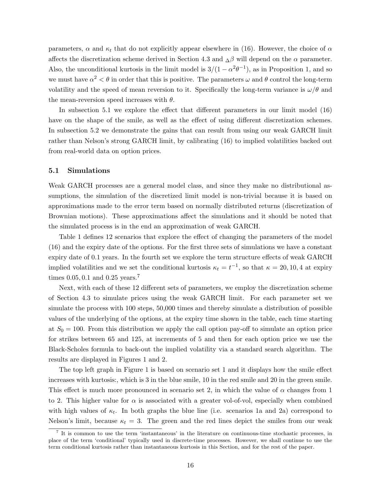parameters,  $\alpha$  and  $\kappa_t$  that do not explicitly appear elsewhere in (16). However, the choice of  $\alpha$ affects the discretization scheme derived in Section 4.3 and  $\Delta\beta$  will depend on the  $\alpha$  parameter. Also, the unconditional kurtosis in the limit model is  $3/(1-\alpha^2\theta^{-1})$ , as in Proposition 1, and so we must have  $\alpha^2 < \theta$  in order that this is positive. The parameters  $\omega$  and  $\theta$  control the long-term volatility and the speed of mean reversion to it. Specifically the long-term variance is  $\omega/\theta$  and the mean-reversion speed increases with  $\theta$ .

In subsection 5.1 we explore the effect that different parameters in our limit model (16) have on the shape of the smile, as well as the effect of using different discretization schemes. In subsection 5.2 we demonstrate the gains that can result from using our weak GARCH limit rather than Nelson's strong GARCH limit, by calibrating (16) to implied volatilities backed out from real-world data on option prices.

#### 5.1 Simulations

Weak GARCH processes are a general model class, and since they make no distributional assumptions, the simulation of the discretized limit model is non-trivial because it is based on approximations made to the error term based on normally distributed returns (discretization of Brownian motions). These approximations affect the simulations and it should be noted that the simulated process is in the end an approximation of weak GARCH.

Table 1 defines 12 scenarios that explore the effect of changing the parameters of the model (16) and the expiry date of the options. For the first three sets of simulations we have a constant expiry date of 0.1 years. In the fourth set we explore the term structure effects of weak GARCH implied volatilities and we set the conditional kurtosis  $\kappa_t = t^{-1}$ , so that  $\kappa = 20, 10, 4$  at expiry times  $0.05, 0.1$  and  $0.25$  years.<sup>7</sup>

Next, with each of these 12 different sets of parameters, we employ the discretization scheme of Section 4.3 to simulate prices using the weak GARCH limit. For each parameter set we simulate the process with 100 steps, 50,000 times and thereby simulate a distribution of possible values of the underlying of the options, at the expiry time shown in the table, each time starting at  $S_0 = 100$ . From this distribution we apply the call option pay-off to simulate an option price for strikes between 65 and 125, at increments of 5 and then for each option price we use the Black-Scholes formula to back-out the implied volatility via a standard search algorithm. The results are displayed in Figures 1 and 2.

The top left graph in Figure 1 is based on scenario set 1 and it displays how the smile effect increases with kurtosis:, which is 3 in the blue smile, 10 in the red smile and 20 in the green smile. This effect is much more pronounced in scenario set 2, in which the value of  $\alpha$  changes from 1 to 2. This higher value for  $\alpha$  is associated with a greater vol-of-vol, especially when combined with high values of  $\kappa_t$ . In both graphs the blue line (i.e. scenarios 1a and 2a) correspond to Nelson's limit, because  $\kappa_t = 3$ . The green and the red lines depict the smiles from our weak

<sup>&</sup>lt;sup>7</sup> It is common to use the term 'instantaneous' in the literature on continuous-time stochastic processes, in place of the term 'conditional' typically used in discrete-time processes. However, we shall continue to use the term conditional kurtosis rather than instantaneous kurtosis in this Section, and for the rest of the paper.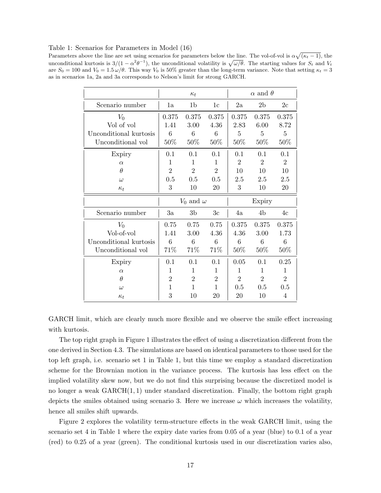Table 1: Scenarios for Parameters in Model (16)

Parameters above the line are set using scenarios for parameters below the line. The vol-of-vol is  $\alpha\sqrt{(\kappa_t-1)}$ , the unconditional kurtosis is  $3/(1-\alpha^2\theta^{-1})$ , the unconditional volatility is  $\sqrt{\omega/\theta}$ . The starting values for  $S_t$  and  $V_t$ are  $S_0 = 100$  and  $V_0 = 1.5 \omega/\theta$ . This way  $V_0$  is 50% greater than the long-term variance. Note that setting  $\kappa_t = 3$ as in scenarios 1a, 2a and 3a corresponds to Nelson's limit for strong GARCH.

|                        | $\alpha$ and $\theta$<br>$\kappa_t$ |                    |                |                |                |                |
|------------------------|-------------------------------------|--------------------|----------------|----------------|----------------|----------------|
| Scenario number        | 1a                                  | 1b                 | 1c             | 2a             | 2 <sub>b</sub> | 2c             |
| $V_0$                  | 0.375                               | 0.375              | 0.375          | 0.375          | 0.375          | 0.375          |
| Vol of vol             | 1.41                                | 3.00               | 4.36           | 2.83           | 6.00           | 8.72           |
| Unconditional kurtosis | 6                                   | 6                  | 6              | 5              | 5              | 5              |
| Unconditional vol      | $50\%$                              | $50\%$             | $50\%$         | 50\%           | 50\%           | 50\%           |
| Expiry                 | 0.1                                 | 0.1                | 0.1            | 0.1            | 0.1            | 0.1            |
| $\alpha$               | 1                                   | 1                  | 1              | $\overline{2}$ | $\overline{2}$ | $\overline{2}$ |
| $\theta$               | $\overline{2}$                      | $\overline{2}$     | $\overline{2}$ | 10             | 10             | 10             |
| $\omega$               | 0.5                                 | 0.5                | 0.5            | 2.5            | 2.5            | 2.5            |
| $\kappa_t$             | 3                                   | 10                 | 20             | 3              | 10             | 20             |
|                        |                                     |                    |                |                |                |                |
|                        |                                     | $V_0$ and $\omega$ |                |                | Expiry         |                |
| Scenario number        | 3a                                  | 3b                 | 3c             | 4a             | 4b             | 4c             |
| $V_0$                  | 0.75                                | 0.75               | 0.75           | 0.375          | 0.375          | 0.375          |
| Vol-of-vol             | 1.41                                | 3.00               | 4.36           | 4.36           | 3.00           | 1.73           |
| Unconditional kurtosis | 6                                   | 6                  | 6              | 6              | 6              | 6              |
| Unconditional vol      | 71%                                 | 71%                | 71%            | 50%            | 50%            | 50\%           |
| Expiry                 | 0.1                                 | 0.1                | 0.1            | 0.05           | 0.1            | 0.25           |
| $\alpha$               | 1                                   | 1                  | 1              | 1              | 1              | 1              |
| θ                      | $\overline{2}$                      | $\overline{2}$     | $\overline{2}$ | $\overline{2}$ | $\overline{2}$ | $\overline{2}$ |
| $\omega$               | 1                                   | 1                  | $\mathbf{1}$   | 0.5            | 0.5            | 0.5            |

GARCH limit, which are clearly much more flexible and we observe the smile effect increasing with kurtosis.

The top right graph in Figure 1 illustrates the effect of using a discretization different from the one derived in Section 4.3. The simulations are based on identical parameters to those used for the top left graph, i.e. scenario set 1 in Table 1, but this time we employ a standard discretization scheme for the Brownian motion in the variance process. The kurtosis has less effect on the implied volatility skew now, but we do not find this surprising because the discretized model is no longer a weak  $GARCH(1, 1)$  under standard discretization. Finally, the bottom right graph depicts the smiles obtained using scenario 3. Here we increase  $\omega$  which increases the volatility, hence all smiles shift upwards.

Figure 2 explores the volatility term-structure effects in the weak GARCH limit, using the scenario set 4 in Table 1 where the expiry date varies from 0.05 of a year (blue) to 0.1 of a year (red) to 0.25 of a year (green). The conditional kurtosis used in our discretization varies also,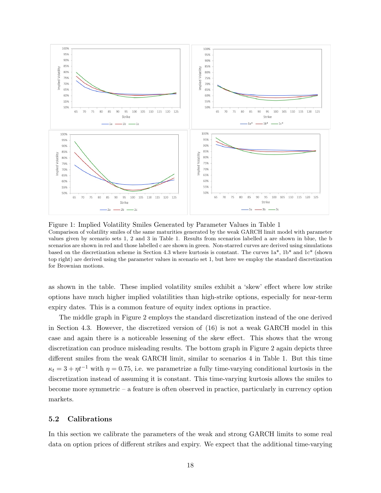

Figure 1: Implied Volatility Smiles Generated by Parameter Values in Table 1 Comparison of volatility smiles of the same maturities generated by the weak GARCH limit model with parameter values given by scenario sets 1, 2 and 3 in Table 1. Results from scenarios labelled a are shown in blue, the b scenarios are shown in red and those labelled c are shown in green. Non-starred curves are derived using simulations based on the discretization scheme in Section 4.3 where kurtosis is constant. The curves  $1a^*$ ,  $1b^*$  and  $1c^*$  (shown top right) are derived using the parameter values in scenario set 1, but here we employ the standard discretization for Brownian motions.

as shown in the table. These implied volatility smiles exhibit a 'skew' effect where low strike options have much higher implied volatilities than high-strike options, especially for near-term expiry dates. This is a common feature of equity index options in practice.

The middle graph in Figure 2 employs the standard discretization instead of the one derived in Section 4.3. However, the discretized version of (16) is not a weak GARCH model in this case and again there is a noticeable lessening of the skew effect. This shows that the wrong discretization can produce misleading results. The bottom graph in Figure 2 again depicts three different smiles from the weak GARCH limit, similar to scenarios 4 in Table 1. But this time  $\kappa_t = 3 + \eta t^{-1}$  with  $\eta = 0.75$ , i.e. we parametrize a fully time-varying conditional kurtosis in the discretization instead of assuming it is constant. This time-varying kurtosis allows the smiles to become more symmetric – a feature is often observed in practice, particularly in currency option markets.

#### 5.2 Calibrations

In this section we calibrate the parameters of the weak and strong GARCH limits to some real data on option prices of different strikes and expiry. We expect that the additional time-varying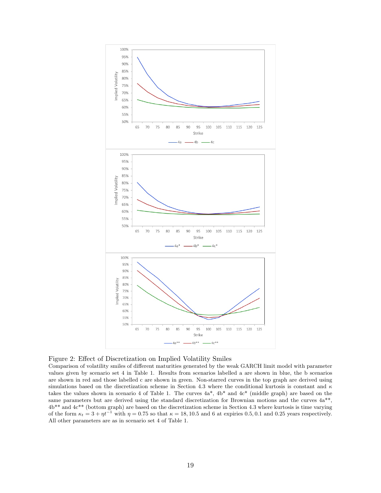

Figure 2: Effect of Discretization on Implied Volatility Smiles

Comparison of volatility smiles of different maturities generated by the weak GARCH limit model with parameter values given by scenario set 4 in Table 1. Results from scenarios labelled a are shown in blue, the b scenarios are shown in red and those labelled c are shown in green. Non-starred curves in the top graph are derived using simulations based on the discretization scheme in Section 4.3 where the conditional kurtosis is constant and  $\kappa$ takes the values shown in scenario 4 of Table 1. The curves  $4a^*$ ,  $4b^*$  and  $4c^*$  (middle graph) are based on the same parameters but are derived using the standard discretization for Brownian motions and the curves  $4a^{**}$ ,  $4b**$  and  $4c**$  (bottom graph) are based on the discretization scheme in Section 4.3 where kurtosis is time varying of the form  $\kappa_t = 3 + \eta t^{-1}$  with  $\eta = 0.75$  so that  $\kappa = 18, 10.5$  and 6 at expiries 0.5, 0.1 and 0.25 years respectively. All other parameters are as in scenario set 4 of Table 1.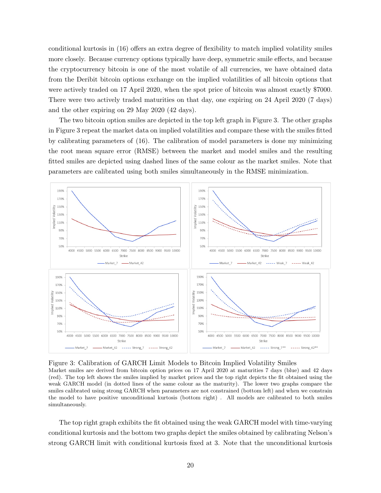conditional kurtosis in (16) offers an extra degree of flexibility to match implied volatility smiles more closely. Because currency options typically have deep, symmetric smile effects, and because the cryptocurrency bitcoin is one of the most volatile of all currencies, we have obtained data from the Deribit bitcoin options exchange on the implied volatilities of all bitcoin options that were actively traded on 17 April 2020, when the spot price of bitcoin was almost exactly \$7000. There were two actively traded maturities on that day, one expiring on 24 April 2020 (7 days) and the other expiring on 29 May 2020 (42 days).

The two bitcoin option smiles are depicted in the top left graph in Figure 3. The other graphs in Figure 3 repeat the market data on implied volatilities and compare these with the smiles fitted by calibrating parameters of (16). The calibration of model parameters is done my minimizing the root mean square error (RMSE) between the market and model smiles and the resulting fitted smiles are depicted using dashed lines of the same colour as the market smiles. Note that parameters are calibrated using both smiles simultaneously in the RMSE minimization.



Figure 3: Calibration of GARCH Limit Models to Bitcoin Implied Volatility Smiles

Market smiles are derived from bitcoin option prices on 17 April 2020 at maturities 7 days (blue) and 42 days (red). The top left shows the smiles implied by market prices and the top right depicts the fit obtained using the weak GARCH model (in dotted lines of the same colour as the maturity). The lower two graphs compare the smiles calibrated using strong GARCH when parameters are not constrained (bottom left) and when we constrain the model to have positive unconditional kurtosis (bottom right) . All models are calibrated to both smiles simultaneously.

The top right graph exhibits the fit obtained using the weak GARCH model with time-varying conditional kurtosis and the bottom two graphs depict the smiles obtained by calibrating Nelson's strong GARCH limit with conditional kurtosis fixed at 3. Note that the unconditional kurtosis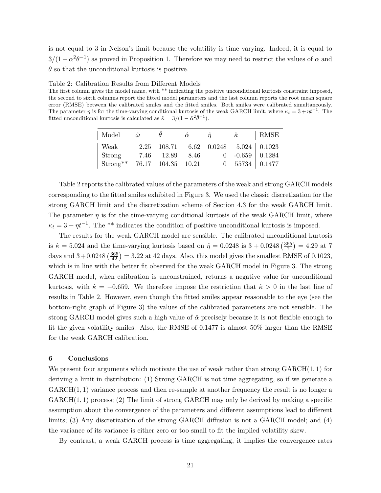is not equal to 3 in Nelson's limit because the volatility is time varying. Indeed, it is equal to  $3/(1-\alpha^2\theta^{-1})$  as proved in Proposition 1. Therefore we may need to restrict the values of  $\alpha$  and  $\theta$  so that the unconditional kurtosis is positive.

Table 2: Calibration Results from Different Models

The first column gives the model name, with \*\* indicating the positive unconditional kurtosis constraint imposed, the second to sixth columns report the fitted model parameters and the last column reports the root mean square error (RMSE) between the calibrated smiles and the fitted smiles. Both smiles were calibrated simultaneously. The parameter  $\eta$  is for the time-varying conditional kurtosis of the weak GARCH limit, where  $\kappa_t = 3 + \eta t^{-1}$ . The fitted unconditional kurtosis is calculated as  $\hat{\kappa} = 3/(1 - \hat{\alpha}^2 \hat{\theta}^{-1}).$ 

| Model         | $\hat{\omega}$ | $\theta$           | $\hat{\alpha}$ | $\ddot{\eta}$ | $\hat{\kappa}$               | RMSE                                   |
|---------------|----------------|--------------------|----------------|---------------|------------------------------|----------------------------------------|
| Weak          |                |                    |                |               |                              | $2.25$ 108.71 6.62 0.0248 5.024 0.1023 |
| Strong        |                | 7.46 12.89         | 8.46           |               | $0 \quad -0.659 \mid 0.1284$ |                                        |
| $Strong^{**}$ |                | 76.17 104.35 10.21 |                |               |                              | $0$ 55734 0.1477                       |

Table 2 reports the calibrated values of the parameters of the weak and strong GARCH models corresponding to the fitted smiles exhibited in Figure 3. We used the classic discretization for the strong GARCH limit and the discretization scheme of Section 4.3 for the weak GARCH limit. The parameter  $\eta$  is for the time-varying conditional kurtosis of the weak GARCH limit, where  $\kappa_t = 3 + \eta t^{-1}$ . The \*\* indicates the condition of positive unconditional kurtosis is imposed.

The results for the weak GARCH model are sensible. The calibrated unconditional kurtosis is  $\hat{\kappa} = 5.024$  and the time-varying kurtosis based on  $\hat{\eta} = 0.0248$  is  $3 + 0.0248 \left( \frac{365}{7} \right)$  $\left(\frac{65}{7}\right) = 4.29$  at 7 days and  $3+0.0248\left(\frac{365}{42}\right) = 3.22$  at 42 days. Also, this model gives the smallest RMSE of 0.1023, which is in line with the better fit observed for the weak GARCH model in Figure 3. The strong GARCH model, when calibration is unconstrained, returns a negative value for unconditional kurtosis, with  $\hat{\kappa} = -0.659$ . We therefore impose the restriction that  $\hat{\kappa} > 0$  in the last line of results in Table 2. However, even though the fitted smiles appear reasonable to the eye (see the bottom-right graph of Figure 3) the values of the calibrated parameters are not sensible. The strong GARCH model gives such a high value of  $\hat{\alpha}$  precisely because it is not flexible enough to fit the given volatility smiles. Also, the RMSE of 0.1477 is almost 50% larger than the RMSE for the weak GARCH calibration.

#### 6 Conclusions

We present four arguments which motivate the use of weak rather than strong  $GARCH(1, 1)$  for deriving a limit in distribution: (1) Strong GARCH is not time aggregating, so if we generate a  $GARCH(1, 1)$  variance process and then re-sample at another frequency the result is no longer a  $GARCH(1, 1)$  process; (2) The limit of strong  $GARCH$  may only be derived by making a specific assumption about the convergence of the parameters and different assumptions lead to different limits; (3) Any discretization of the strong GARCH diffusion is not a GARCH model; and (4) the variance of its variance is either zero or too small to fit the implied volatility skew.

By contrast, a weak GARCH process is time aggregating, it implies the convergence rates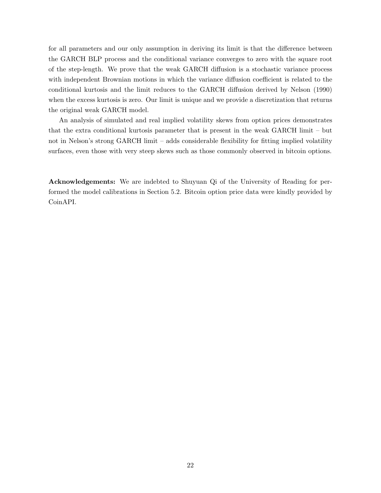for all parameters and our only assumption in deriving its limit is that the difference between the GARCH BLP process and the conditional variance converges to zero with the square root of the step-length. We prove that the weak GARCH diffusion is a stochastic variance process with independent Brownian motions in which the variance diffusion coefficient is related to the conditional kurtosis and the limit reduces to the GARCH diffusion derived by Nelson (1990) when the excess kurtosis is zero. Our limit is unique and we provide a discretization that returns the original weak GARCH model.

An analysis of simulated and real implied volatility skews from option prices demonstrates that the extra conditional kurtosis parameter that is present in the weak GARCH limit – but not in Nelson's strong GARCH limit – adds considerable flexibility for fitting implied volatility surfaces, even those with very steep skews such as those commonly observed in bitcoin options.

Acknowledgements: We are indebted to Shuyuan Qi of the University of Reading for performed the model calibrations in Section 5.2. Bitcoin option price data were kindly provided by CoinAPI.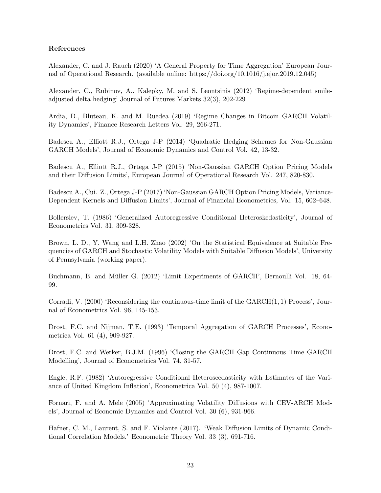## References

Alexander, C. and J. Rauch (2020) 'A General Property for Time Aggregation' European Journal of Operational Research. (available online: https://doi.org/10.1016/j.ejor.2019.12.045)

Alexander, C., Rubinov, A., Kalepky, M. and S. Leontsinis (2012) 'Regime-dependent smileadjusted delta hedging' Journal of Futures Markets 32(3), 202-229

Ardia, D., Bluteau, K. and M. Ruedea (2019) 'Regime Changes in Bitcoin GARCH Volatility Dynamics', Finance Research Letters Vol. 29, 266-271.

Badescu A., Elliott R.J., Ortega J-P (2014) 'Quadratic Hedging Schemes for Non-Gaussian GARCH Models', Journal of Economic Dynamics and Control Vol. 42, 13-32.

Badescu A., Elliott R.J., Ortega J-P (2015) 'Non-Gaussian GARCH Option Pricing Models and their Diffusion Limits', European Journal of Operational Research Vol. 247, 820-830.

Badescu A., Cui. Z., Ortega J-P (2017) 'Non-Gaussian GARCH Option Pricing Models, Variance-Dependent Kernels and Diffusion Limits', Journal of Financial Econometrics, Vol. 15, 602–648.

Bollerslev, T. (1986) 'Generalized Autoregressive Conditional Heteroskedasticity', Journal of Econometrics Vol. 31, 309-328.

Brown, L. D., Y. Wang and L.H. Zhao (2002) 'On the Statistical Equivalence at Suitable Frequencies of GARCH and Stochastic Volatility Models with Suitable Diffusion Models', University of Pennsylvania (working paper).

Buchmann, B. and Müller G. (2012) 'Limit Experiments of GARCH', Bernoulli Vol. 18, 64-99.

Corradi, V. (2000) 'Reconsidering the continuous-time limit of the GARCH(1, 1) Process', Journal of Econometrics Vol. 96, 145-153.

Drost, F.C. and Nijman, T.E. (1993) 'Temporal Aggregation of GARCH Processes', Econometrica Vol. 61 (4), 909-927.

Drost, F.C. and Werker, B.J.M. (1996) 'Closing the GARCH Gap Continuous Time GARCH Modelling', Journal of Econometrics Vol. 74, 31-57.

Engle, R.F. (1982) 'Autoregressive Conditional Heteroscedasticity with Estimates of the Variance of United Kingdom Inflation', Econometrica Vol. 50 (4), 987-1007.

Fornari, F. and A. Mele (2005) 'Approximating Volatility Diffusions with CEV-ARCH Models', Journal of Economic Dynamics and Control Vol. 30 (6), 931-966.

Hafner, C. M., Laurent, S. and F. Violante (2017). 'Weak Diffusion Limits of Dynamic Conditional Correlation Models.' Econometric Theory Vol. 33 (3), 691-716.